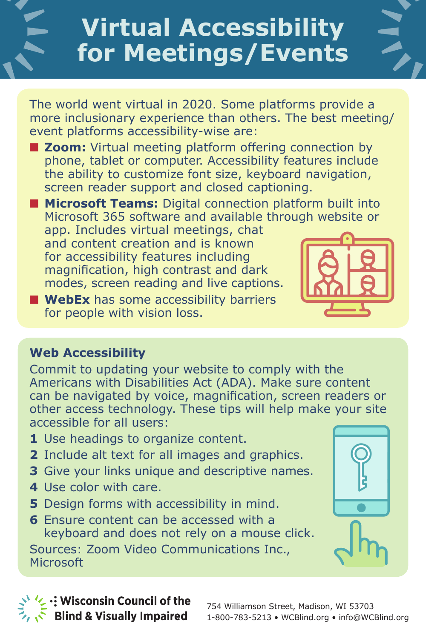# **Virtual Accessibility for Meetings/Events**

The world went virtual in 2020. Some platforms provide a more inclusionary experience than others. The best meeting/ event platforms accessibility-wise are:

- **E Zoom:** Virtual meeting platform offering connection by phone, tablet or computer. Accessibility features include the ability to customize font size, keyboard navigation, screen reader support and closed captioning.
- **n** Microsoft Teams: Digital connection platform built into Microsoft 365 software and available through website or app. Includes virtual meetings, chat and content creation and is known for accessibility features including magnification, high contrast and dark modes, screen reading and live captions.
- **NebEx** has some accessibility barriers for people with vision loss.



Commit to updating your website to comply with the Americans with Disabilities Act (ADA). Make sure content can be navigated by voice, magnification, screen readers or other access technology. These tips will help make your site accessible for all users:

- **1** Use headings to organize content.
- **2** Include alt text for all images and graphics.
- **3** Give your links unique and descriptive names.
- **4** Use color with care.
- **5** Design forms with accessibility in mind.
- **6** Ensure content can be accessed with a keyboard and does not rely on a mouse click.

Sources: Zoom Video Communications Inc., Microsoft





 $\mathcal{L}$ : Wisconsin Council of the **Blind & Visually Impaired**